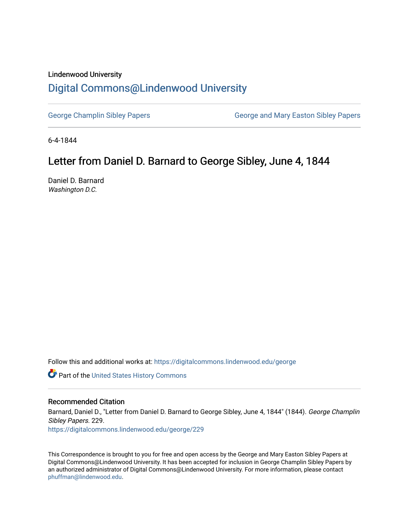## Lindenwood University [Digital Commons@Lindenwood University](https://digitalcommons.lindenwood.edu/)

[George Champlin Sibley Papers](https://digitalcommons.lindenwood.edu/george) George and Mary Easton Sibley Papers

6-4-1844

## Letter from Daniel D. Barnard to George Sibley, June 4, 1844

Daniel D. Barnard Washington D.C.

Follow this and additional works at: [https://digitalcommons.lindenwood.edu/george](https://digitalcommons.lindenwood.edu/george?utm_source=digitalcommons.lindenwood.edu%2Fgeorge%2F229&utm_medium=PDF&utm_campaign=PDFCoverPages)

Part of the [United States History Commons](http://network.bepress.com/hgg/discipline/495?utm_source=digitalcommons.lindenwood.edu%2Fgeorge%2F229&utm_medium=PDF&utm_campaign=PDFCoverPages) 

## Recommended Citation

Barnard, Daniel D., "Letter from Daniel D. Barnard to George Sibley, June 4, 1844" (1844). George Champlin Sibley Papers. 229. [https://digitalcommons.lindenwood.edu/george/229](https://digitalcommons.lindenwood.edu/george/229?utm_source=digitalcommons.lindenwood.edu%2Fgeorge%2F229&utm_medium=PDF&utm_campaign=PDFCoverPages)

This Correspondence is brought to you for free and open access by the George and Mary Easton Sibley Papers at Digital Commons@Lindenwood University. It has been accepted for inclusion in George Champlin Sibley Papers by an authorized administrator of Digital Commons@Lindenwood University. For more information, please contact [phuffman@lindenwood.edu](mailto:phuffman@lindenwood.edu).